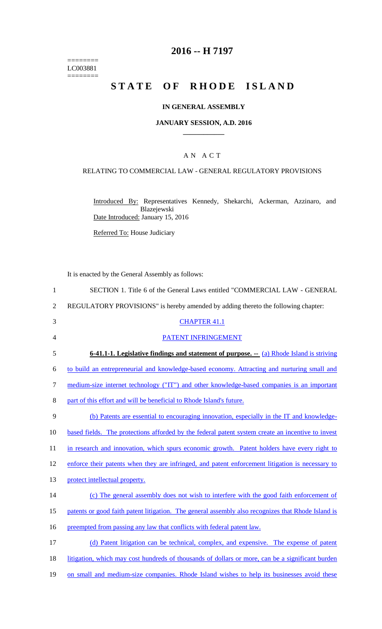======== LC003881  $=$ 

# **2016 -- H 7197**

# STATE OF RHODE ISLAND

## **IN GENERAL ASSEMBLY**

#### **JANUARY SESSION, A.D. 2016 \_\_\_\_\_\_\_\_\_\_\_\_**

## A N A C T

### RELATING TO COMMERCIAL LAW - GENERAL REGULATORY PROVISIONS

Introduced By: Representatives Kennedy, Shekarchi, Ackerman, Azzinaro, and Blazejewski Date Introduced: January 15, 2016

Referred To: House Judiciary

It is enacted by the General Assembly as follows:

| $\mathbf{1}$   | SECTION 1. Title 6 of the General Laws entitled "COMMERCIAL LAW - GENERAL                          |
|----------------|----------------------------------------------------------------------------------------------------|
| $\overline{2}$ | REGULATORY PROVISIONS" is hereby amended by adding thereto the following chapter:                  |
| 3              | <b>CHAPTER 41.1</b>                                                                                |
| $\overline{4}$ | PATENT INFRINGEMENT                                                                                |
| 5              | <b>6-41.1-1. Legislative findings and statement of purpose.</b> -- (a) Rhode Island is striving    |
| 6              | to build an entrepreneurial and knowledge-based economy. Attracting and nurturing small and        |
| 7              | medium-size internet technology ("IT") and other knowledge-based companies is an important         |
| 8              | part of this effort and will be beneficial to Rhode Island's future.                               |
| 9              | (b) Patents are essential to encouraging innovation, especially in the IT and knowledge-           |
| 10             | based fields. The protections afforded by the federal patent system create an incentive to invest  |
| 11             | in research and innovation, which spurs economic growth. Patent holders have every right to        |
| 12             | enforce their patents when they are infringed, and patent enforcement litigation is necessary to   |
| 13             | protect intellectual property.                                                                     |
| 14             | (c) The general assembly does not wish to interfere with the good faith enforcement of             |
| 15             | patents or good faith patent litigation. The general assembly also recognizes that Rhode Island is |
| 16             | preempted from passing any law that conflicts with federal patent law.                             |
| 17             | (d) Patent litigation can be technical, complex, and expensive. The expense of patent              |
| 18             | litigation, which may cost hundreds of thousands of dollars or more, can be a significant burden   |
| 19             | on small and medium-size companies. Rhode Island wishes to help its businesses avoid these         |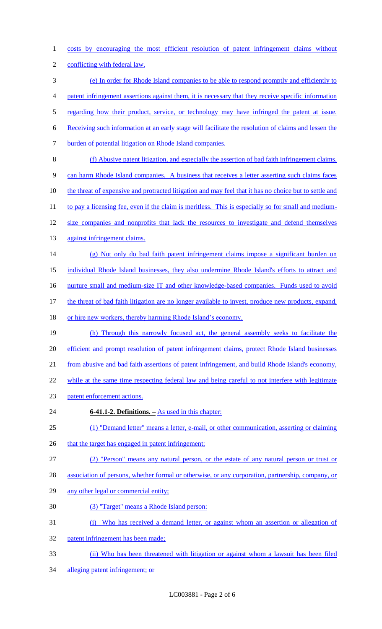costs by encouraging the most efficient resolution of patent infringement claims without

- conflicting with federal law.
- (e) In order for Rhode Island companies to be able to respond promptly and efficiently to patent infringement assertions against them, it is necessary that they receive specific information 5 regarding how their product, service, or technology may have infringed the patent at issue. Receiving such information at an early stage will facilitate the resolution of claims and lessen the burden of potential litigation on Rhode Island companies. (f) Abusive patent litigation, and especially the assertion of bad faith infringement claims, can harm Rhode Island companies. A business that receives a letter asserting such claims faces 10 the threat of expensive and protracted litigation and may feel that it has no choice but to settle and 11 to pay a licensing fee, even if the claim is meritless. This is especially so for small and medium-12 size companies and nonprofits that lack the resources to investigate and defend themselves 13 against infringement claims. (g) Not only do bad faith patent infringement claims impose a significant burden on individual Rhode Island businesses, they also undermine Rhode Island's efforts to attract and 16 nurture small and medium-size IT and other knowledge-based companies. Funds used to avoid 17 the threat of bad faith litigation are no longer available to invest, produce new products, expand,
- 18 or hire new workers, thereby harming Rhode Island's economy.
- (h) Through this narrowly focused act, the general assembly seeks to facilitate the efficient and prompt resolution of patent infringement claims, protect Rhode Island businesses from abusive and bad faith assertions of patent infringement, and build Rhode Island's economy,
- 22 while at the same time respecting federal law and being careful to not interfere with legitimate
- patent enforcement actions.
- **6-41.1-2. Definitions. –** As used in this chapter:
- (1) "Demand letter" means a letter, e-mail, or other communication, asserting or claiming
- 26 that the target has engaged in patent infringement;
- (2) "Person" means any natural person, or the estate of any natural person or trust or
- association of persons, whether formal or otherwise, or any corporation, partnership, company, or
- 29 any other legal or commercial entity;
- (3) "Target" means a Rhode Island person:
- (i) Who has received a demand letter, or against whom an assertion or allegation of
- patent infringement has been made;
- (ii) Who has been threatened with litigation or against whom a lawsuit has been filed
- alleging patent infringement; or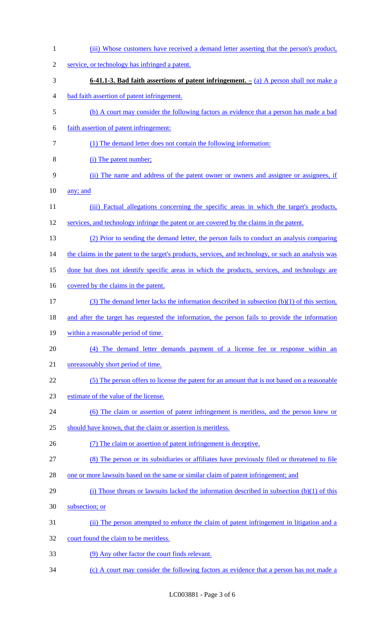| $\mathbf{1}$   | (iii) Whose customers have received a demand letter asserting that the person's product,             |
|----------------|------------------------------------------------------------------------------------------------------|
| $\overline{c}$ | service, or technology has infringed a patent.                                                       |
| 3              | 6-41.1-3. Bad faith assertions of patent infringement. $-$ (a) A person shall not make a             |
| 4              | bad faith assertion of patent infringement.                                                          |
| 5              | (b) A court may consider the following factors as evidence that a person has made a bad              |
| 6              | faith assertion of patent infringement:                                                              |
| 7              | (1) The demand letter does not contain the following information:                                    |
| 8              | (i) The patent number;                                                                               |
| 9              | (ii) The name and address of the patent owner or owners and assignee or assignees, if                |
| 10             | any; and                                                                                             |
| 11             | (iii) Factual allegations concerning the specific areas in which the target's products,              |
| 12             | services, and technology infringe the patent or are covered by the claims in the patent.             |
| 13             | (2) Prior to sending the demand letter, the person fails to conduct an analysis comparing            |
| 14             | the claims in the patent to the target's products, services, and technology, or such an analysis was |
| 15             | done but does not identify specific areas in which the products, services, and technology are        |
| 16             | covered by the claims in the patent.                                                                 |
| 17             | (3) The demand letter lacks the information described in subsection (b)(1) of this section,          |
| 18             | and after the target has requested the information, the person fails to provide the information      |
| 19             | within a reasonable period of time.                                                                  |
| 20             | (4) The demand letter demands payment of a license fee or response within an                         |
| 21             | unreasonably short period of time.                                                                   |
| 22             | (5) The person offers to license the patent for an amount that is not based on a reasonable          |
| 23             | estimate of the value of the license.                                                                |
| 24             | (6) The claim or assertion of patent infringement is meritless, and the person knew or               |
| 25             | should have known, that the claim or assertion is meritless.                                         |
| 26             | (7) The claim or assertion of patent infringement is deceptive.                                      |
| 27             | (8) The person or its subsidiaries or affiliates have previously filed or threatened to file         |
| 28             | one or more lawsuits based on the same or similar claim of patent infringement; and                  |
| 29             | (i) Those threats or lawsuits lacked the information described in subsection $(b)(1)$ of this        |
| 30             | subsection; or                                                                                       |
| 31             | (ii) The person attempted to enforce the claim of patent infringement in litigation and a            |
| 32             | court found the claim to be meritless.                                                               |
| 33             | (9) Any other factor the court finds relevant.                                                       |
| 34             | (c) A court may consider the following factors as evidence that a person has not made a              |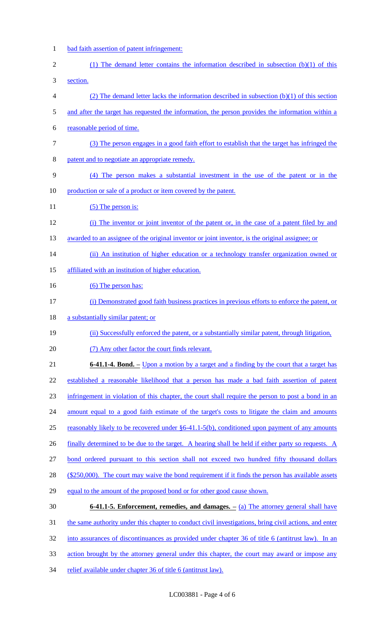- 1 bad faith assertion of patent infringement:
- 2 (1) The demand letter contains the information described in subsection (b)(1) of this 3 section.

- 4 (2) The demand letter lacks the information described in subsection (b)(1) of this section
- 5 and after the target has requested the information, the person provides the information within a
- 6 reasonable period of time.
- 7 (3) The person engages in a good faith effort to establish that the target has infringed the
- 8 patent and to negotiate an appropriate remedy.
- 9 (4) The person makes a substantial investment in the use of the patent or in the 10 production or sale of a product or item covered by the patent.
- 11 (5) The person is:
- 12 (i) The inventor or joint inventor of the patent or, in the case of a patent filed by and
- 13 awarded to an assignee of the original inventor or joint inventor, is the original assignee; or
- 14 (ii) An institution of higher education or a technology transfer organization owned or
- 15 affiliated with an institution of higher education.
- 16 (6) The person has:
- 17 (i) Demonstrated good faith business practices in previous efforts to enforce the patent, or
- 18 a substantially similar patent; or
- 19 (ii) Successfully enforced the patent, or a substantially similar patent, through litigation,
- 20 (7) Any other factor the court finds relevant.
- 21 **6-41.1-4. Bond. –** Upon a motion by a target and a finding by the court that a target has 22 established a reasonable likelihood that a person has made a bad faith assertion of patent 23 infringement in violation of this chapter, the court shall require the person to post a bond in an 24 amount equal to a good faith estimate of the target's costs to litigate the claim and amounts 25 reasonably likely to be recovered under §6-41.1-5(b), conditioned upon payment of any amounts 26 finally determined to be due to the target. A hearing shall be held if either party so requests. A
- 27 bond ordered pursuant to this section shall not exceed two hundred fifty thousand dollars
- 28 (\$250,000). The court may waive the bond requirement if it finds the person has available assets
- 29 equal to the amount of the proposed bond or for other good cause shown.
- 30 **6-41.1-5. Enforcement, remedies, and damages. –** (a) The attorney general shall have 31 the same authority under this chapter to conduct civil investigations, bring civil actions, and enter 32 into assurances of discontinuances as provided under chapter 36 of title 6 (antitrust law). In an 33 action brought by the attorney general under this chapter, the court may award or impose any
- 34 relief available under chapter 36 of title 6 (antitrust law).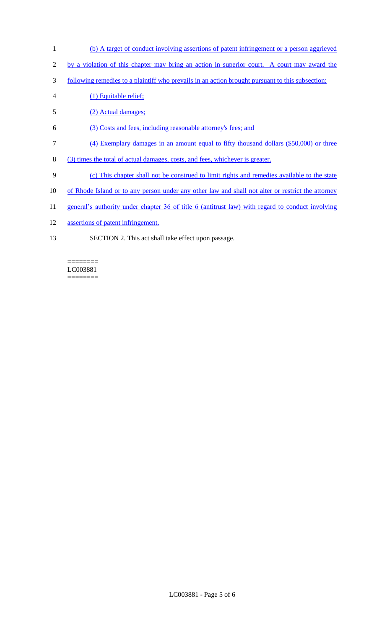- 1 (b) A target of conduct involving assertions of patent infringement or a person aggrieved
- 2 by a violation of this chapter may bring an action in superior court. A court may award the
- 3 following remedies to a plaintiff who prevails in an action brought pursuant to this subsection:
- 4 (1) Equitable relief;
- 5 (2) Actual damages;
- 6 (3) Costs and fees, including reasonable attorney's fees; and
- 7 (4) Exemplary damages in an amount equal to fifty thousand dollars (\$50,000) or three
- 8 (3) times the total of actual damages, costs, and fees, whichever is greater.
- 9 (c) This chapter shall not be construed to limit rights and remedies available to the state
- 10 of Rhode Island or to any person under any other law and shall not alter or restrict the attorney
- 11 general's authority under chapter 36 of title 6 (antitrust law) with regard to conduct involving
- 12 assertions of patent infringement.
- 13 SECTION 2. This act shall take effect upon passage.

LC003881  $=$ 

 $=$